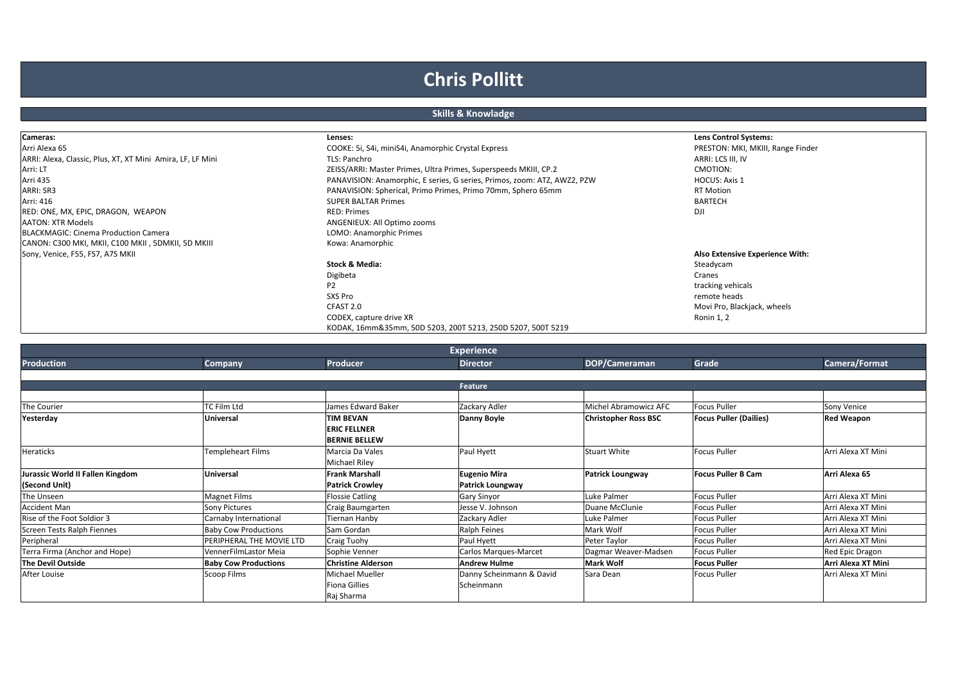## **Chris Pollitt**

## **Skills & Knowladge**

| Cameras:                                                   | Lenses:                                                                  | <b>Lens Control Systems:</b>      |
|------------------------------------------------------------|--------------------------------------------------------------------------|-----------------------------------|
| Arri Alexa 65                                              | COOKE: 5i, S4i, miniS4i, Anamorphic Crystal Express                      | PRESTON: MKI, MKIII, Range Finder |
| ARRI: Alexa, Classic, Plus, XT, XT Mini Amira, LF, LF Mini | TLS: Panchro                                                             | ARRI: LCS III, IV                 |
| Arri: LT                                                   | ZEISS/ARRI: Master Primes, Ultra Primes, Superspeeds MKIII, CP.2         | CMOTION:                          |
| Arri 435                                                   | PANAVISION: Anamorphic, E series, G series, Primos, zoom: ATZ, AWZ2, PZW | <b>HOCUS: Axis 1</b>              |
| ARRI: SR3                                                  | PANAVISION: Spherical, Primo Primes, Primo 70mm, Sphero 65mm             | <b>RT Motion</b>                  |
| Arri: 416                                                  | <b>SUPER BALTAR Primes</b>                                               | <b>BARTECH</b>                    |
| RED: ONE, MX, EPIC, DRAGON, WEAPON                         | <b>RED: Primes</b>                                                       | DJI                               |
| <b>AATON: XTR Models</b>                                   | ANGENIEUX: All Optimo zooms                                              |                                   |
| <b>BLACKMAGIC: Cinema Production Camera</b>                | LOMO: Anamorphic Primes                                                  |                                   |
| CANON: C300 MKI, MKII, C100 MKII, 5DMKII, 5D MKIII         | Kowa: Anamorphic                                                         |                                   |
| Sony, Venice, F55, FS7, A7S MKII                           |                                                                          | Also Extensive Experience With:   |
|                                                            | Stock & Media:                                                           | Steadycam                         |
|                                                            | Digibeta                                                                 | Cranes                            |
|                                                            | P <sub>2</sub>                                                           | tracking vehicals                 |
|                                                            | SXS Pro                                                                  | remote heads                      |
|                                                            | CFAST 2.0                                                                | Movi Pro, Blackjack, wheels       |
|                                                            | CODEX, capture drive XR                                                  | Ronin 1, 2                        |
|                                                            | KODAK, 16mm&35mm, 50D 5203, 200T 5213, 250D 5207, 500T 5219              |                                   |

| <b>Experience</b>                |                                 |                                                                 |                                        |                             |                               |                    |  |
|----------------------------------|---------------------------------|-----------------------------------------------------------------|----------------------------------------|-----------------------------|-------------------------------|--------------------|--|
| <b>Production</b>                | Company                         | Producer                                                        | <b>Director</b>                        | DOP/Cameraman               | Grade                         | Camera/Format      |  |
|                                  |                                 |                                                                 |                                        |                             |                               |                    |  |
|                                  |                                 |                                                                 | Feature                                |                             |                               |                    |  |
|                                  |                                 |                                                                 |                                        |                             |                               |                    |  |
| The Courier                      | <b>TC Film Ltd</b>              | James Edward Baker                                              | Zackary Adler                          | Michel Abramowicz AFC       | <b>Focus Puller</b>           | Sony Venice        |  |
| Yesterday                        | <b>Universal</b>                | <b>TIM BEVAN</b><br><b>ERIC FELLNER</b><br><b>BERNIE BELLEW</b> | Danny Boyle                            | <b>Christopher Ross BSC</b> | <b>Focus Puller (Dailies)</b> | <b>Red Weapon</b>  |  |
| <b>Heraticks</b>                 | Templeheart Films               | Marcia Da Vales<br>Michael Riley                                | Paul Hyett                             | <b>Stuart White</b>         | <b>Focus Puller</b>           | Arri Alexa XT Mini |  |
| Jurassic World II Fallen Kingdom | <b>Universal</b>                | <b>Frank Marshall</b>                                           | <b>Eugenio Mira</b>                    | Patrick Loungway            | <b>Focus Puller B Cam</b>     | Arri Alexa 65      |  |
| (Second Unit)                    |                                 | <b>Patrick Crowley</b>                                          | <b>Patrick Loungway</b>                |                             |                               |                    |  |
| The Unseen                       | <b>Magnet Films</b>             | <b>Flossie Catling</b>                                          | <b>Gary Sinyor</b>                     | Luke Palmer                 | <b>Focus Puller</b>           | Arri Alexa XT Mini |  |
| <b>Accident Man</b>              | <b>Sony Pictures</b>            | Craig Baumgarten                                                | Jesse V. Johnson                       | Duane McClunie              | <b>Focus Puller</b>           | Arri Alexa XT Mini |  |
| Rise of the Foot Soldior 3       | Carnaby International           | Tiernan Hanby                                                   | Zackary Adler                          | Luke Palmer                 | <b>Focus Puller</b>           | Arri Alexa XT Mini |  |
| Screen Tests Ralph Fiennes       | <b>Baby Cow Productions</b>     | Sam Gordan                                                      | Ralph Feines                           | Mark Wolf                   | <b>Focus Puller</b>           | Arri Alexa XT Mini |  |
| Peripheral                       | <b>PERIPHERAL THE MOVIE LTD</b> | Craig Tuohy                                                     | Paul Hyett                             | Peter Taylor                | <b>Focus Puller</b>           | Arri Alexa XT Mini |  |
| Terra Firma (Anchor and Hope)    | VennerFilmLastor Meia           | Sophie Venner                                                   | Carlos Marques-Marcet                  | Dagmar Weaver-Madsen        | <b>Focus Puller</b>           | Red Epic Dragon    |  |
| The Devil Outside                | <b>Baby Cow Productions</b>     | <b>Christine Alderson</b>                                       | <b>Andrew Hulme</b>                    | <b>Mark Wolf</b>            | <b>Focus Puller</b>           | Arri Alexa XT Mini |  |
| After Louise                     | Scoop Films                     | <b>Michael Mueller</b><br><b>Fiona Gillies</b><br>Raj Sharma    | Danny Scheinmann & David<br>Scheinmann | Sara Dean                   | <b>Focus Puller</b>           | Arri Alexa XT Mini |  |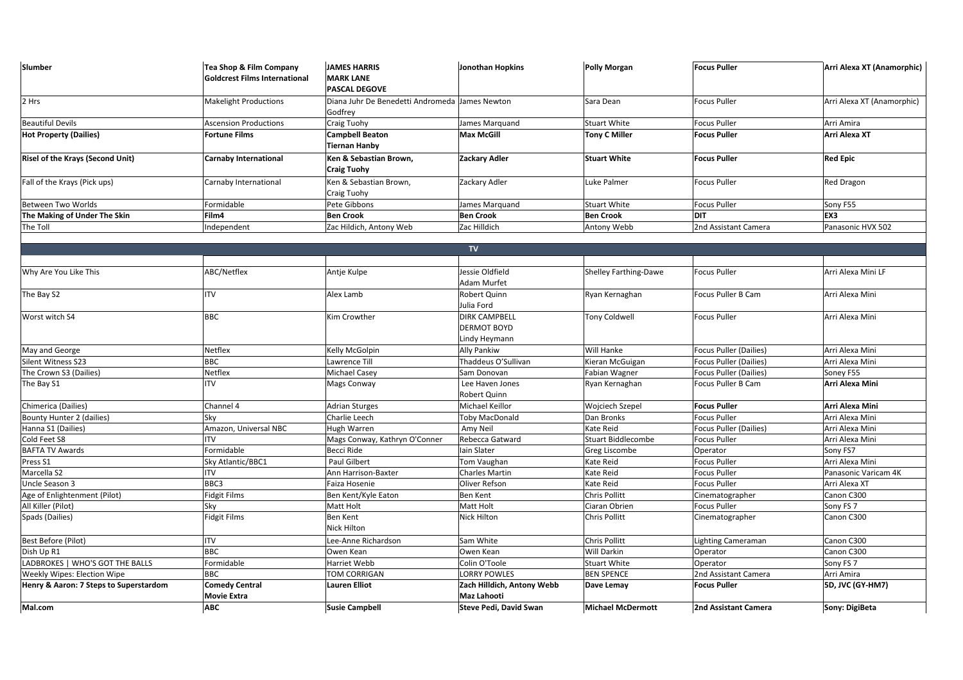| Slumber                                | Tea Shop & Film Company<br><b>Goldcrest Films International</b> | <b>JAMES HARRIS</b><br><b>MARK LANE</b><br><b>PASCAL DEGOVE</b> | Jonothan Hopkins                                            | <b>Polly Morgan</b>       | <b>Focus Puller</b>           | Arri Alexa XT (Anamorphic) |
|----------------------------------------|-----------------------------------------------------------------|-----------------------------------------------------------------|-------------------------------------------------------------|---------------------------|-------------------------------|----------------------------|
| 2 Hrs                                  | <b>Makelight Productions</b>                                    | Diana Juhr De Benedetti Andromeda James Newton<br>Godfrey       |                                                             | Sara Dean                 | <b>Focus Puller</b>           | Arri Alexa XT (Anamorphic) |
| <b>Beautiful Devils</b>                | <b>Ascension Productions</b>                                    | <b>Craig Tuohy</b>                                              | James Marquand                                              | <b>Stuart White</b>       | <b>Focus Puller</b>           | Arri Amira                 |
| <b>Hot Property (Dailies)</b>          | <b>Fortune Films</b>                                            | <b>Campbell Beaton</b><br><b>Tiernan Hanby</b>                  | <b>Max McGill</b>                                           | <b>Tony C Miller</b>      | <b>Focus Puller</b>           | Arri Alexa XT              |
| Risel of the Krays (Second Unit)       | <b>Carnaby International</b>                                    | Ken & Sebastian Brown,<br><b>Craig Tuohy</b>                    | <b>Zackary Adler</b>                                        | <b>Stuart White</b>       | <b>Focus Puller</b>           | <b>Red Epic</b>            |
| Fall of the Krays (Pick ups)           | Carnaby International                                           | Ken & Sebastian Brown,<br>Craig Tuohy                           | Zackary Adler                                               | Luke Palmer               | <b>Focus Puller</b>           | <b>Red Dragon</b>          |
| Between Two Worlds                     | Formidable                                                      | Pete Gibbons                                                    | James Marquand                                              | <b>Stuart White</b>       | <b>Focus Puller</b>           | Sony F55                   |
| The Making of Under The Skin           | Film4                                                           | <b>Ben Crook</b>                                                | <b>Ben Crook</b>                                            | <b>Ben Crook</b>          | <b>DIT</b>                    | EX3                        |
| The Toll                               | Independent                                                     | Zac Hildich, Antony Web                                         | Zac Hilldich                                                | Antony Webb               | 2nd Assistant Camera          | Panasonic HVX 502          |
|                                        |                                                                 |                                                                 |                                                             |                           |                               |                            |
|                                        |                                                                 |                                                                 | <b>TV</b>                                                   |                           |                               |                            |
|                                        |                                                                 |                                                                 |                                                             |                           |                               |                            |
| Why Are You Like This                  | ABC/Netflex                                                     | Antje Kulpe                                                     | Jessie Oldfield<br>Adam Murfet                              | Shelley Farthing-Dawe     | <b>Focus Puller</b>           | Arri Alexa Mini LF         |
| The Bay S2                             | <b>ITV</b>                                                      | Alex Lamb                                                       | Robert Quinn<br>Julia Ford                                  | Ryan Kernaghan            | Focus Puller B Cam            | Arri Alexa Mini            |
| Worst witch S4                         | <b>BBC</b>                                                      | Kim Crowther                                                    | <b>DIRK CAMPBELL</b><br><b>DERMOT BOYD</b><br>Lindy Heymann | <b>Tony Coldwell</b>      | <b>Focus Puller</b>           | Arri Alexa Mini            |
| May and George                         | Netflex                                                         | Kelly McGolpin                                                  | <b>Ally Pankiw</b>                                          | Will Hanke                | Focus Puller (Dailies)        | Arri Alexa Mini            |
| Silent Witness S23                     | <b>BBC</b>                                                      | Lawrence Till                                                   | Thaddeus O'Sullivan                                         | Kieran McGuigan           | <b>Focus Puller (Dailies)</b> | Arri Alexa Mini            |
| The Crown S3 (Dailies)                 | Netflex                                                         | Michael Casey                                                   | Sam Donovan                                                 | Fabian Wagner             | Focus Puller (Dailies)        | Soney F55                  |
| The Bay S1                             | <b>ITV</b>                                                      | Mags Conway                                                     | Lee Haven Jones<br>Robert Quinn                             | Ryan Kernaghan            | Focus Puller B Cam            | Arri Alexa Mini            |
| Chimerica (Dailies)                    | Channel 4                                                       | <b>Adrian Sturges</b>                                           | Michael Keillor                                             | Wojciech Szepel           | <b>Focus Puller</b>           | Arri Alexa Mini            |
| Bounty Hunter 2 (dailies)              | Sky                                                             | Charlie Leech                                                   | <b>Toby MacDonald</b>                                       | Dan Bronks                | Focus Puller                  | Arri Alexa Mini            |
| Hanna S1 (Dailies)                     | Amazon, Universal NBC                                           | Hugh Warren                                                     | Amy Neil                                                    | Kate Reid                 | Focus Puller (Dailies)        | Arri Alexa Mini            |
| Cold Feet S8                           | <b>ITV</b>                                                      | Mags Conway, Kathryn O'Conner                                   | Rebecca Gatward                                             | <b>Stuart Biddlecombe</b> | <b>Focus Puller</b>           | Arri Alexa Mini            |
| <b>BAFTA TV Awards</b>                 | Formidable                                                      | Becci Ride                                                      | Iain Slater                                                 | Greg Liscombe             | Operator                      | Sony FS7                   |
| Press S1                               | Sky Atlantic/BBC1                                               | Paul Gilbert                                                    | Tom Vaughan                                                 | Kate Reid                 | <b>Focus Puller</b>           | Arri Alexa Mini            |
| Marcella S2                            | <b>ITV</b>                                                      | Ann Harrison-Baxter                                             | <b>Charles Martin</b>                                       | Kate Reid                 | <b>Focus Puller</b>           | Panasonic Varicam 4K       |
| Uncle Season 3                         | BBC3                                                            | Faiza Hosenie                                                   | Oliver Refson                                               | Kate Reid                 | <b>Focus Puller</b>           | Arri Alexa XT              |
| Age of Enlightenment (Pilot)           | <b>Fidgit Films</b>                                             | Ben Kent/Kyle Eaton                                             | <b>Ben Kent</b>                                             | Chris Pollitt             | Cinematographer               | Canon C300                 |
| All Killer (Pilot)                     | Sky                                                             | Matt Holt                                                       | Matt Holt                                                   | Ciaran Obrien             | <b>Focus Puller</b>           | Sony FS 7                  |
| Spads (Dailies)                        | <b>Fidgit Films</b>                                             | Ben Kent<br>Nick Hilton                                         | Nick Hilton                                                 | Chris Pollitt             | Cinematographer               | Canon C300                 |
| Best Before (Pilot)                    | <b>ITV</b>                                                      | Lee-Anne Richardson                                             | Sam White                                                   | Chris Pollitt             | Lighting Cameraman            | Canon C300                 |
| Dish Up R1                             | <b>BBC</b>                                                      | Owen Kean                                                       | Owen Kean                                                   | Will Darkin               | Operator                      | Canon C300                 |
| LADBROKES   WHO'S GOT THE BALLS        | Formidable                                                      | Harriet Webb                                                    | Colin O'Toole                                               | Stuart White              | Operator                      | Sony FS 7                  |
| Weekly Wipes: Election Wipe            | <b>BBC</b>                                                      | TOM CORRIGAN                                                    | <b>LORRY POWLES</b>                                         | <b>BEN SPENCE</b>         | 2nd Assistant Camera          | Arri Amira                 |
| Henry & Aaron: 7 Steps to Superstardom | <b>Comedy Central</b><br><b>Movie Extra</b>                     | <b>Lauren Elliot</b>                                            | Zach Hilldich, Antony Webb<br><b>Maz Lahooti</b>            | Dave Lemay                | <b>Focus Puller</b>           | 5D, JVC (GY-HM7)           |
| Mal.com                                | <b>ABC</b>                                                      | <b>Susie Campbell</b>                                           | <b>Steve Pedi, David Swan</b>                               | <b>Michael McDermott</b>  | 2nd Assistant Camera          | Sony: DigiBeta             |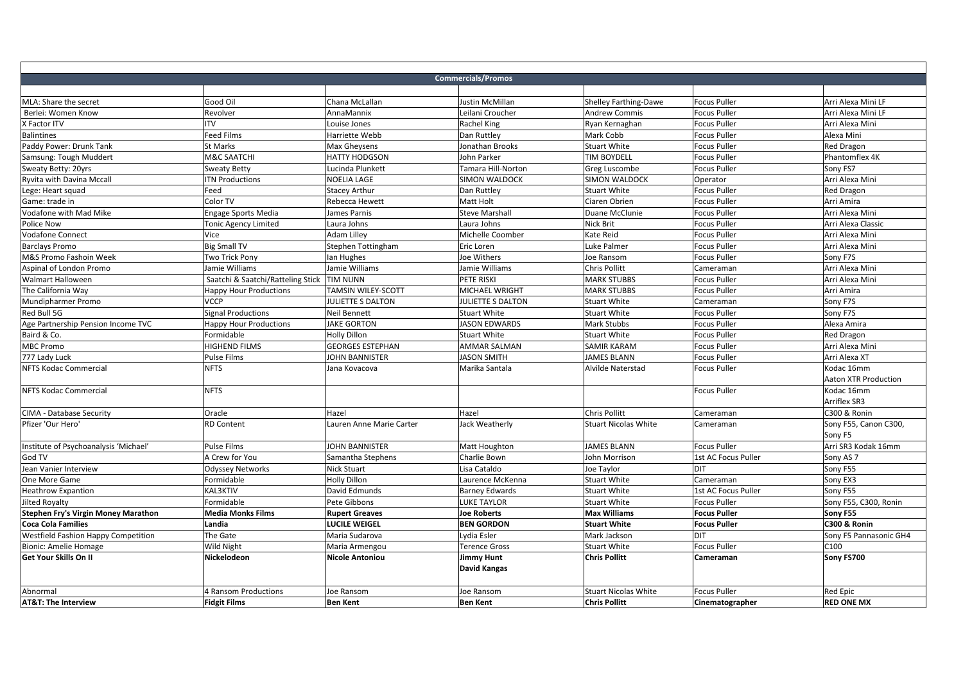|                                       |                                              |                          | <b>Commercials/Promos</b> |                             |                     |                             |
|---------------------------------------|----------------------------------------------|--------------------------|---------------------------|-----------------------------|---------------------|-----------------------------|
|                                       |                                              |                          |                           |                             |                     |                             |
| MLA: Share the secret                 | Good Oil                                     | Chana McLallan           | <b>Justin McMillan</b>    | Shelley Farthing-Dawe       | <b>Focus Puller</b> | Arri Alexa Mini LF          |
| Berlei: Women Know                    | Revolver                                     | <b>AnnaMannix</b>        | Leilani Croucher          | <b>Andrew Commis</b>        | <b>Focus Puller</b> | Arri Alexa Mini LF          |
| X Factor ITV                          | <b>ITV</b>                                   | Louise Jones             | Rachel King               | Ryan Kernaghan              | <b>Focus Puller</b> | Arri Alexa Mini             |
| <b>Balintines</b>                     | Feed Films                                   | Harriette Webb           | Dan Ruttley               | Mark Cobb                   | <b>Focus Puller</b> | Alexa Mini                  |
| Paddy Power: Drunk Tank               | <b>St Marks</b>                              | Max Gheysens             | Jonathan Brooks           | <b>Stuart White</b>         | <b>Focus Puller</b> | <b>Red Dragon</b>           |
| Samsung: Tough Muddert                | <b>M&amp;C SAATCHI</b>                       | <b>HATTY HODGSON</b>     | John Parker               | <b>TIM BOYDELL</b>          | <b>Focus Puller</b> | Phantomflex 4K              |
| Sweaty Betty: 20yrs                   | <b>Sweaty Betty</b>                          | Lucinda Plunkett         | Tamara Hill-Norton        | Greg Luscombe               | <b>Focus Puller</b> | Sony FS7                    |
| Ryvita with Davina Mccall             | <b>ITN Productions</b>                       | NOELIA LAGE              | <b>SIMON WALDOCK</b>      | <b>SIMON WALDOCK</b>        | Operator            | Arri Alexa Mini             |
| Lege: Heart squad                     | Feed                                         | <b>Stacey Arthur</b>     | Dan Ruttley               | <b>Stuart White</b>         | <b>Focus Puller</b> | <b>Red Dragon</b>           |
| Game: trade in                        | Color TV                                     | Rebecca Hewett           | Matt Holt                 | Ciaren Obrien               | <b>Focus Puller</b> | Arri Amira                  |
| Vodafone with Mad Mike                | Engage Sports Media                          | James Parnis             | <b>Steve Marshall</b>     | Duane McClunie              | <b>Focus Puller</b> | Arri Alexa Mini             |
| Police Now                            | Tonic Agency Limited                         | Laura Johns              | Laura Johns               | Nick Brit                   | <b>Focus Puller</b> | Arri Alexa Classic          |
| <b>Vodafone Connect</b>               | Vice                                         | Adam Lilley              | Michelle Coomber          | Kate Reid                   | <b>Focus Puller</b> | Arri Alexa Mini             |
| <b>Barclays Promo</b>                 | <b>Big Small TV</b>                          | Stephen Tottingham       | Eric Loren                | Luke Palmer                 | <b>Focus Puller</b> | Arri Alexa Mini             |
| M&S Promo Fashoin Week                | Two Trick Pony                               | lan Hughes               | Joe Withers               | Joe Ransom                  | <b>Focus Puller</b> | Sony F7S                    |
| Aspinal of London Promo               | Jamie Williams                               | Jamie Williams           | Jamie Williams            | Chris Pollitt               | Cameraman           | Arri Alexa Mini             |
| <b>Walmart Halloween</b>              | Saatchi & Saatchi/Ratteling Stick   TIM NUNN |                          | PETE RISKI                | <b>MARK STUBBS</b>          | <b>Focus Puller</b> | Arri Alexa Mini             |
| The California Way                    | <b>Happy Hour Productions</b>                | TAMSIN WILEY-SCOTT       | MICHAEL WRIGHT            | <b>MARK STUBBS</b>          | <b>Focus Puller</b> | Arri Amira                  |
| Mundipharmer Promo                    | <b>VCCP</b>                                  | JULIETTE S DALTON        | <b>JULIETTE S DALTON</b>  | <b>Stuart White</b>         | Cameraman           | Sony F7S                    |
| Red Bull 5G                           | Signal Productions                           | <b>Neil Bennett</b>      | <b>Stuart White</b>       | <b>Stuart White</b>         | <b>Focus Puller</b> | Sony F7S                    |
| Age Partnership Pension Income TVC    | <b>Happy Hour Productions</b>                | <b>JAKE GORTON</b>       | <b>JASON EDWARDS</b>      | Mark Stubbs                 | <b>Focus Puller</b> | Alexa Amira                 |
| Baird & Co.                           | Formidable                                   | <b>Holly Dillon</b>      | <b>Stuart White</b>       | Stuart White                | <b>Focus Puller</b> | <b>Red Dragon</b>           |
| <b>MBC Promo</b>                      | <b>HIGHEND FILMS</b>                         | <b>GEORGES ESTEPHAN</b>  | <b>AMMAR SALMAN</b>       | <b>SAMIR KARAM</b>          | Focus Puller        | Arri Alexa Mini             |
| 777 Lady Luck                         | <b>Pulse Films</b>                           | JOHN BANNISTER           | <b>JASON SMITH</b>        | <b>JAMES BLANN</b>          | <b>Focus Puller</b> | Arri Alexa XT               |
| <b>NFTS Kodac Commercial</b>          | <b>NFTS</b>                                  | Jana Kovacova            | Marika Santala            | Alvilde Naterstad           | <b>Focus Puller</b> | Kodac 16mm                  |
|                                       |                                              |                          |                           |                             |                     | <b>Aaton XTR Production</b> |
| <b>NFTS Kodac Commercial</b>          | <b>NFTS</b>                                  |                          |                           |                             | <b>Focus Puller</b> | Kodac 16mm                  |
|                                       |                                              |                          |                           |                             |                     | <b>Arriflex SR3</b>         |
| CIMA - Database Security              | Oracle                                       | Hazel                    | Hazel                     | Chris Pollitt               | Cameraman           | C300 & Ronin                |
| Pfizer 'Our Hero'                     | <b>RD Content</b>                            | Lauren Anne Marie Carter | Jack Weatherly            | <b>Stuart Nicolas White</b> | Cameraman           | Sony F55, Canon C300,       |
|                                       |                                              |                          |                           |                             |                     | Sony F5                     |
| Institute of Psychoanalysis 'Michael' | Pulse Films                                  | JOHN BANNISTER           | Matt Houghton             | <b>JAMES BLANN</b>          | <b>Focus Puller</b> | Arri SR3 Kodak 16mm         |
| God TV                                | A Crew for You                               | Samantha Stephens        | Charlie Bown              | John Morrison               | 1st AC Focus Puller | Sony AS <sub>7</sub>        |
| Jean Vanier Interview                 | <b>Odyssey Networks</b>                      | Nick Stuart              | Lisa Cataldo              | Joe Taylor                  | DIT                 | Sony F55                    |
| One More Game                         | Formidable                                   | <b>Holly Dillon</b>      | Laurence McKenna          | <b>Stuart White</b>         | Cameraman           | Sony EX3                    |
| <b>Heathrow Expantion</b>             | <b>KAL3KTIV</b>                              | David Edmunds            | <b>Barney Edwards</b>     | <b>Stuart White</b>         | 1st AC Focus Puller | Sony F55                    |
| Jilted Royalty                        | Formidable                                   | Pete Gibbons             | <b>LUKE TAYLOR</b>        | <b>Stuart White</b>         | <b>Focus Puller</b> | Sony F55, C300, Ronin       |
| Stephen Fry's Virgin Money Marathon   | <b>Media Monks Films</b>                     | <b>Rupert Greaves</b>    | <b>Joe Roberts</b>        | <b>Max Williams</b>         | <b>Focus Puller</b> | Sony F55                    |
| <b>Coca Cola Families</b>             | Landia                                       | <b>LUCILE WEIGEL</b>     | <b>BEN GORDON</b>         | <b>Stuart White</b>         | <b>Focus Puller</b> | C300 & Ronin                |
| Westfield Fashion Happy Competition   | The Gate                                     | Maria Sudarova           | Lydia Esler               | Mark Jackson                | <b>DIT</b>          | Sony F5 Pannasonic GH4      |
| <b>Bionic: Amelie Homage</b>          | <b>Wild Night</b>                            | Maria Armengou           | <b>Terence Gross</b>      | <b>Stuart White</b>         | <b>Focus Puller</b> | C100                        |
| Get Your Skills On II                 | Nickelodeon                                  | Nicole Antoniou          | <b>Jimmy Hunt</b>         | <b>Chris Pollitt</b>        | Cameraman           | Sony FS700                  |
|                                       |                                              |                          | <b>David Kangas</b>       |                             |                     |                             |
|                                       |                                              |                          |                           |                             |                     |                             |
| Abnormal                              | <b>4 Ransom Productions</b>                  | Joe Ransom               | Joe Ransom                | <b>Stuart Nicolas White</b> | <b>Focus Puller</b> | Red Epic                    |
| <b>AT&amp;T: The Interview</b>        | <b>Fidgit Films</b>                          | <b>Ben Kent</b>          | <b>Ben Kent</b>           | <b>Chris Pollitt</b>        | Cinematographer     | <b>RED ONE MX</b>           |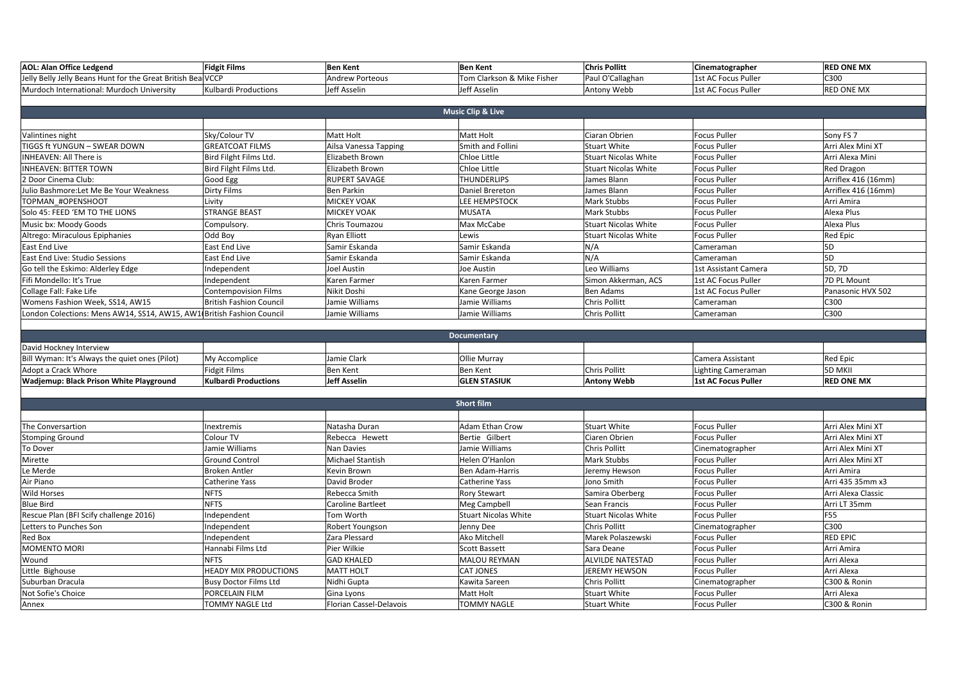| <b>AOL: Alan Office Ledgend</b>                                       | <b>Fidgit Films</b>         | <b>Ben Kent</b>        | <b>Ben Kent</b>              | <b>Chris Pollitt</b>        | Cinematographer      | <b>RED ONE MX</b>    |
|-----------------------------------------------------------------------|-----------------------------|------------------------|------------------------------|-----------------------------|----------------------|----------------------|
| Jelly Belly Jelly Beans Hunt for the Great British BealVCCP           |                             | <b>Andrew Porteous</b> | Tom Clarkson & Mike Fisher   | Paul O'Callaghan            | 1st AC Focus Puller  | C300                 |
| Murdoch International: Murdoch University                             | Kulbardi Productions        | Jeff Asselin           | Jeff Asselin                 | Antony Webb                 | 1st AC Focus Puller  | <b>RED ONE MX</b>    |
|                                                                       |                             |                        |                              |                             |                      |                      |
|                                                                       |                             |                        | <b>Music Clip &amp; Live</b> |                             |                      |                      |
|                                                                       |                             |                        |                              |                             |                      |                      |
| Valintines night                                                      | Sky/Colour TV               | <b>Matt Holt</b>       | Matt Holt                    | Ciaran Obrien               | <b>Focus Puller</b>  | Sony FS <sub>7</sub> |
| TIGGS ft YUNGUN - SWEAR DOWN                                          | <b>GREATCOAT FILMS</b>      | Ailsa Vanessa Tapping  | Smith and Follini            | <b>Stuart White</b>         | <b>Focus Puller</b>  | Arri Alex Mini XT    |
| <b>INHEAVEN: All There is</b>                                         | Bird Filght Films Ltd.      | Elizabeth Brown        | Chloe Little                 | <b>Stuart Nicolas White</b> | <b>Focus Puller</b>  | Arri Alexa Mini      |
| <b>INHEAVEN: BITTER TOWN</b>                                          | Bird Filght Films Ltd.      | Elizabeth Brown        | Chloe Little                 | <b>Stuart Nicolas White</b> | <b>Focus Puller</b>  | Red Dragon           |
| 2 Door Cinema Club:                                                   | Good Egg                    | <b>RUPERT SAVAGE</b>   | <b>THUNDERLIPS</b>           | James Blann                 | <b>Focus Puller</b>  | Arriflex 416 (16mm)  |
| Julio Bashmore: Let Me Be Your Weakness                               | Dirty Films                 | <b>Ben Parkin</b>      | Daniel Brereton              | James Blann                 | <b>Focus Puller</b>  | Arriflex 416 (16mm)  |
| TOPMAN #OPENSHOOT                                                     | Livity                      | <b>MICKEY VOAK</b>     | <b>LEE HEMPSTOCK</b>         | Mark Stubbs                 | <b>Focus Puller</b>  | Arri Amira           |
| Solo 45: FEED 'EM TO THE LIONS                                        | <b>STRANGE BEAST</b>        | <b>MICKEY VOAK</b>     | <b>MUSATA</b>                | Mark Stubbs                 | <b>Focus Puller</b>  | Alexa Plus           |
| Music bx: Moody Goods                                                 | Compulsory.                 | Chris Toumazou         | Max McCabe                   | <b>Stuart Nicolas White</b> | <b>Focus Puller</b>  | Alexa Plus           |
| Altrego: Miraculous Epiphanies                                        | Odd Boy                     | Ryan Elliott           | Lewis                        | <b>Stuart Nicolas White</b> | <b>Focus Puller</b>  | <b>Red Epic</b>      |
| East End Live                                                         | East End Live               | Samir Eskanda          | Samir Eskanda                | N/A                         | Cameraman            | 5 <sub>D</sub>       |
| East End Live: Studio Sessions                                        | East End Live               | Samir Eskanda          | Samir Eskanda                | N/A                         | Cameraman            | 5D                   |
| Go tell the Eskimo: Alderley Edge                                     | Independent                 | <b>Joel Austin</b>     | Joe Austin                   | Leo Williams                | 1st Assistant Camera | 5D, 7D               |
| Fifi Mondello: It's True                                              | Independent                 | Karen Farmer           | Karen Farmer                 | Simon Akkerman. ACS         | 1st AC Focus Puller  | 7D PL Mount          |
| Collage Fall: Fake Life                                               | <b>Contempovision Films</b> | Nikit Doshi            | Kane George Jason            | <b>Ben Adams</b>            | 1st AC Focus Puller  | Panasonic HVX 502    |
| Womens Fashion Week, SS14, AW15                                       | British Fashion Council     | Jamie Williams         | Jamie Williams               | <b>Chris Pollitt</b>        | Cameraman            | C300                 |
| London Colections: Mens AW14, SS14, AW15, AW1(British Fashion Council |                             | Jamie Williams         | Jamie Williams               | <b>Chris Pollitt</b>        | Cameraman            | C300                 |
|                                                                       |                             |                        |                              |                             |                      |                      |
|                                                                       |                             |                        | <b>Documontoni</b>           |                             |                      |                      |

| <b>Documentary</b>                             |                             |              |                     |                    |                     |                   |
|------------------------------------------------|-----------------------------|--------------|---------------------|--------------------|---------------------|-------------------|
| David Hockney Interview                        |                             |              |                     |                    |                     |                   |
| Bill Wyman: It's Always the quiet ones (Pilot) | My Accomplice               | Jamie Clark  | Ollie Murrav        |                    | Camera Assistant    | Red Epic          |
| Adopt a Crack Whore                            | Fidgit Films                | Ben Kent     | Ben Kent            | Chris Pollitt      | Lighting Cameraman  | <b>5D MKII</b>    |
| <b>Wadjemup: Black Prison White Playground</b> | <b>Kulbardi Productions</b> | Jeff Asselin | <b>GLEN STASIUK</b> | <b>Antony Webb</b> | 1st AC Focus Puller | <b>RED ONE MX</b> |

| Short film                             |                              |                          |                       |                             |                     |                    |
|----------------------------------------|------------------------------|--------------------------|-----------------------|-----------------------------|---------------------|--------------------|
|                                        |                              |                          |                       |                             |                     |                    |
| The Conversartion                      | Inextremis                   | Natasha Duran            | Adam Ethan Crow       | <b>Stuart White</b>         | <b>Focus Puller</b> | Arri Alex Mini XT  |
| <b>Stomping Ground</b>                 | Colour TV                    | Rebecca Hewett           | Bertie Gilbert        | Ciaren Obrien               | <b>Focus Puller</b> | Arri Alex Mini XT  |
| To Dover                               | Jamie Williams               | Nan Davies               | Jamie Williams        | Chris Pollitt               | Cinematographer     | Arri Alex Mini XT  |
| Mirette                                | Ground Control               | Michael Stantish         | Helen O'Hanlon        | Mark Stubbs                 | <b>Focus Puller</b> | Arri Alex Mini XT  |
| Le Merde                               | <b>Broken Antler</b>         | Kevin Brown              | Ben Adam-Harris       | Jeremy Hewson               | <b>Focus Puller</b> | Arri Amira         |
| Air Piano                              | Catherine Yass               | David Broder             | <b>Catherine Yass</b> | Jono Smith                  | <b>Focus Puller</b> | Arri 435 35mm x3   |
| <b>Wild Horses</b>                     | NFTS                         | Rebecca Smith            | <b>Rory Stewart</b>   | Samira Oberberg             | <b>Focus Puller</b> | Arri Alexa Classic |
| <b>Blue Bird</b>                       | <b>NFTS</b>                  | <b>Caroline Bartleet</b> | <b>Meg Campbell</b>   | Sean Francis                | <b>Focus Puller</b> | Arri LT 35mm       |
| Rescue Plan (BFI Scify challenge 2016) | Independent                  | Tom Worth                | Stuart Nicolas White  | <b>Stuart Nicolas White</b> | <b>Focus Puller</b> | <b>F55</b>         |
| Letters to Punches Son                 | Independent                  | Robert Youngson          | Jenny Dee             | Chris Pollitt               | Cinematographer     | C300               |
| Red Box                                | Independent                  | Zara Plessard            | Ako Mitchell          | Marek Polaszewski           | <b>Focus Puller</b> | <b>RED EPIC</b>    |
| <b>MOMENTO MORI</b>                    | Hannabi Films Ltd            | Pier Wilkie              | <b>Scott Bassett</b>  | Sara Deane                  | <b>Focus Puller</b> | Arri Amira         |
| Wound                                  | <b>NFTS</b>                  | <b>GAD KHALED</b>        | <b>MALOU REYMAN</b>   | <b>ALVILDE NATESTAD</b>     | <b>Focus Puller</b> | Arri Alexa         |
| Little Bighouse                        | HEADY MIX PRODUCTIONS        | <b>MATT HOLT</b>         | <b>CAT JONES</b>      | JEREMY HEWSON               | <b>Focus Puller</b> | Arri Alexa         |
| Suburban Dracula                       | <b>Busy Doctor Films Ltd</b> | Nidhi Gupta              | Kawita Sareen         | Chris Pollitt               | Cinematographer     | C300 & Ronin       |
| Not Sofie's Choice                     | PORCELAIN FILM               | Gina Lyons               | Matt Holt             | <b>Stuart White</b>         | <b>Focus Puller</b> | Arri Alexa         |
| Annex                                  | TOMMY NAGLE Ltd              | Florian Cassel-Delavois  | <b>TOMMY NAGLE</b>    | <b>Stuart White</b>         | <b>Focus Puller</b> | C300 & Ronin       |